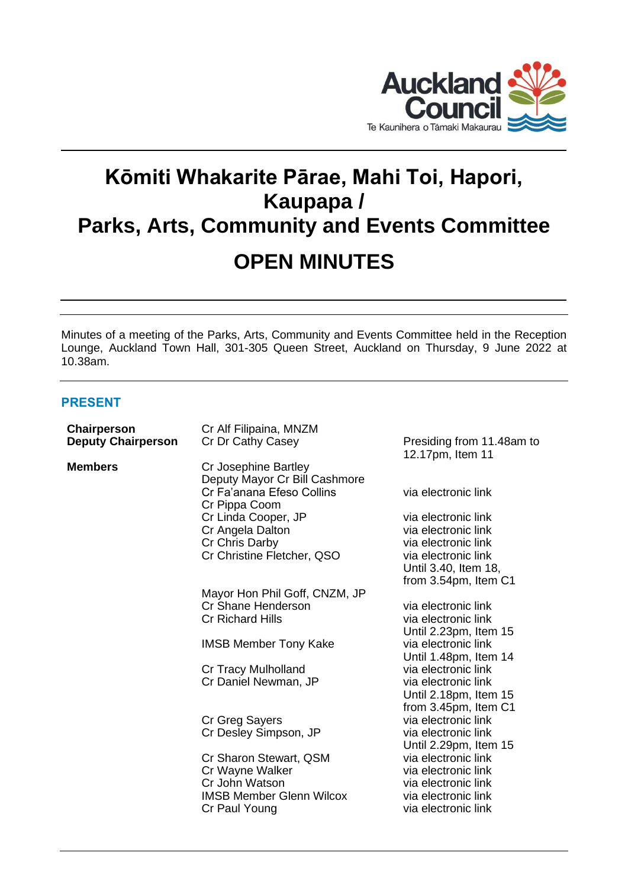

# **Kōmiti Whakarite Pārae, Mahi Toi, Hapori, Kaupapa / Parks, Arts, Community and Events Committee OPEN MINUTES**

Minutes of a meeting of the Parks, Arts, Community and Events Committee held in the Reception Lounge, Auckland Town Hall, 301-305 Queen Street, Auckland on Thursday, 9 June 2022 at 10.38am.

## **PRESENT**

| Chairperson               | Cr Alf Filipaina, MNZM          |                           |
|---------------------------|---------------------------------|---------------------------|
| <b>Deputy Chairperson</b> | Cr Dr Cathy Casey               | Presiding from 11.48am to |
|                           |                                 | 12.17pm, Item 11          |
| <b>Members</b>            | Cr Josephine Bartley            |                           |
|                           | Deputy Mayor Cr Bill Cashmore   |                           |
|                           | Cr Fa'anana Efeso Collins       | via electronic link       |
|                           | Cr Pippa Coom                   |                           |
|                           | Cr Linda Cooper, JP             | via electronic link       |
|                           | Cr Angela Dalton                | via electronic link       |
|                           | Cr Chris Darby                  | via electronic link       |
|                           | Cr Christine Fletcher, QSO      | via electronic link       |
|                           |                                 | Until 3.40, Item 18,      |
|                           |                                 | from 3.54pm, Item C1      |
|                           | Mayor Hon Phil Goff, CNZM, JP   |                           |
|                           | Cr Shane Henderson              | via electronic link       |
|                           | <b>Cr Richard Hills</b>         | via electronic link       |
|                           |                                 | Until 2.23pm, Item 15     |
|                           | <b>IMSB Member Tony Kake</b>    | via electronic link       |
|                           |                                 | Until 1.48pm, Item 14     |
|                           | Cr Tracy Mulholland             | via electronic link       |
|                           | Cr Daniel Newman, JP            | via electronic link       |
|                           |                                 | Until 2.18pm, Item 15     |
|                           |                                 | from 3.45pm, Item C1      |
|                           | Cr Greg Sayers                  | via electronic link       |
|                           | Cr Desley Simpson, JP           | via electronic link       |
|                           |                                 | Until 2.29pm, Item 15     |
|                           | Cr Sharon Stewart, QSM          | via electronic link       |
|                           | Cr Wayne Walker                 | via electronic link       |
|                           | Cr John Watson                  | via electronic link       |
|                           | <b>IMSB Member Glenn Wilcox</b> | via electronic link       |
|                           | Cr Paul Young                   | via electronic link       |
|                           |                                 |                           |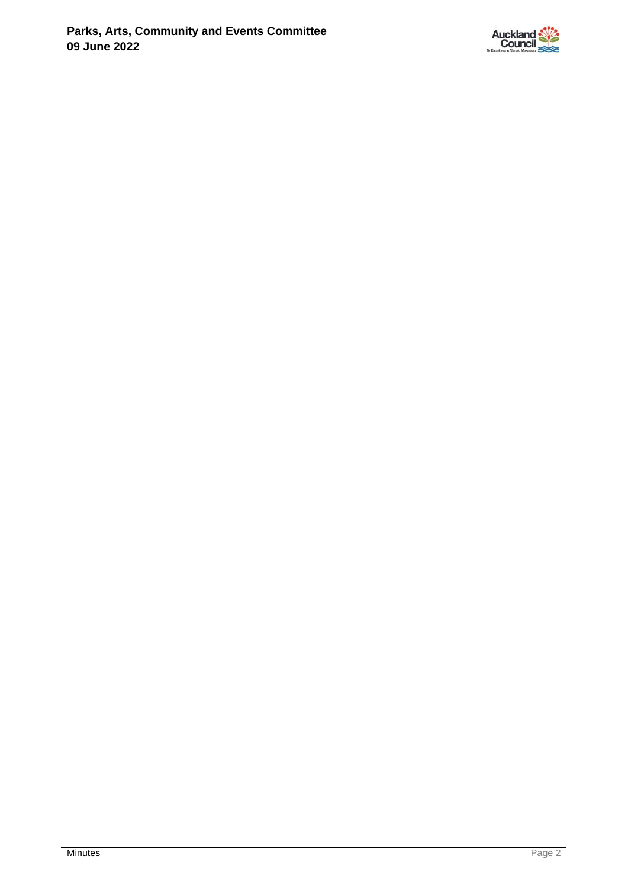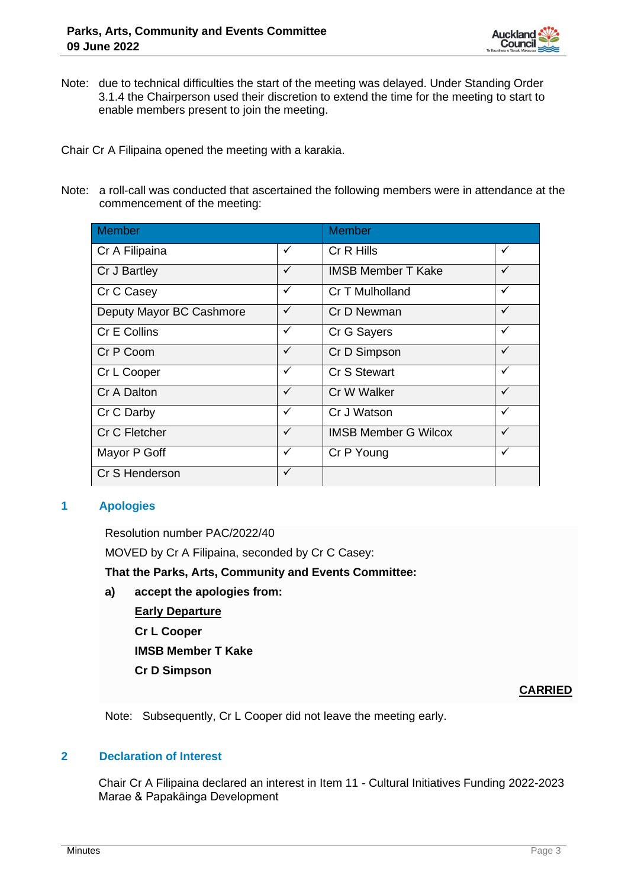

Note: due to technical difficulties the start of the meeting was delayed. Under Standing Order 3.1.4 the Chairperson used their discretion to extend the time for the meeting to start to enable members present to join the meeting.

Chair Cr A Filipaina opened the meeting with a karakia.

Note: a roll-call was conducted that ascertained the following members were in attendance at the commencement of the meeting:

| Member                   |              | <b>Member</b>               |              |
|--------------------------|--------------|-----------------------------|--------------|
| Cr A Filipaina           | $\checkmark$ | Cr R Hills                  | ✓            |
| Cr J Bartley             | $\checkmark$ | <b>IMSB Member T Kake</b>   | $\checkmark$ |
| Cr C Casey               | $\checkmark$ | Cr T Mulholland             | ✓            |
| Deputy Mayor BC Cashmore | $\checkmark$ | Cr D Newman                 | $\checkmark$ |
| Cr E Collins             | ✓            | Cr G Sayers                 | ✓            |
| Cr P Coom                | $\checkmark$ | Cr D Simpson                | $\checkmark$ |
| Cr L Cooper              | $\checkmark$ | Cr S Stewart                | ✓            |
| Cr A Dalton              | $\checkmark$ | Cr W Walker                 | $\checkmark$ |
| Cr C Darby               | $\checkmark$ | Cr J Watson                 | $\checkmark$ |
| Cr C Fletcher            | $\checkmark$ | <b>IMSB Member G Wilcox</b> | $\checkmark$ |
| Mayor P Goff             | $\checkmark$ | Cr P Young                  | ✓            |
| Cr S Henderson           | ✓            |                             |              |

## **1 Apologies**

Resolution number PAC/2022/40

MOVED by Cr A Filipaina, seconded by Cr C Casey:

**That the Parks, Arts, Community and Events Committee:**

**a) accept the apologies from:**

**Early Departure Cr L Cooper IMSB Member T Kake Cr D Simpson**

**CARRIED**

Note: Subsequently, Cr L Cooper did not leave the meeting early.

## **2 Declaration of Interest**

Chair Cr A Filipaina declared an interest in Item 11 - Cultural Initiatives Funding 2022-2023 Marae & Papakāinga Development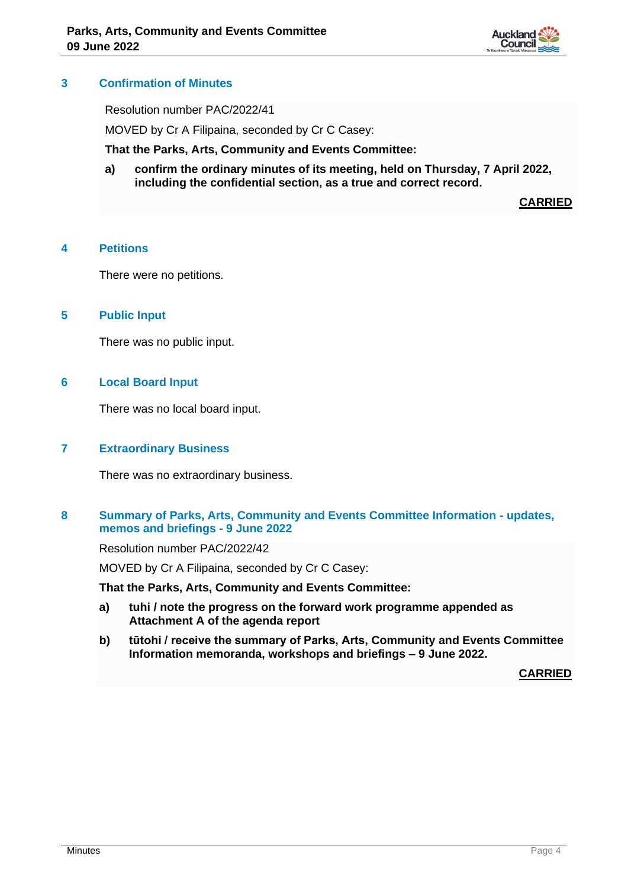

# **3 Confirmation of Minutes**

Resolution number PAC/2022/41

MOVED by Cr A Filipaina, seconded by Cr C Casey:

**That the Parks, Arts, Community and Events Committee:**

**a) confirm the ordinary minutes of its meeting, held on Thursday, 7 April 2022, including the confidential section, as a true and correct record.**

**CARRIED**

## **4 Petitions**

There were no petitions.

## **5 Public Input**

There was no public input.

## **6 Local Board Input**

There was no local board input.

#### **7 Extraordinary Business**

There was no extraordinary business.

## **8 Summary of Parks, Arts, Community and Events Committee Information - updates, memos and briefings - 9 June 2022**

Resolution number PAC/2022/42

MOVED by Cr A Filipaina, seconded by Cr C Casey:

**That the Parks, Arts, Community and Events Committee:**

- **a) tuhi / note the progress on the forward work programme appended as Attachment A of the agenda report**
- **b) tūtohi / receive the summary of Parks, Arts, Community and Events Committee Information memoranda, workshops and briefings – 9 June 2022.**

**CARRIED**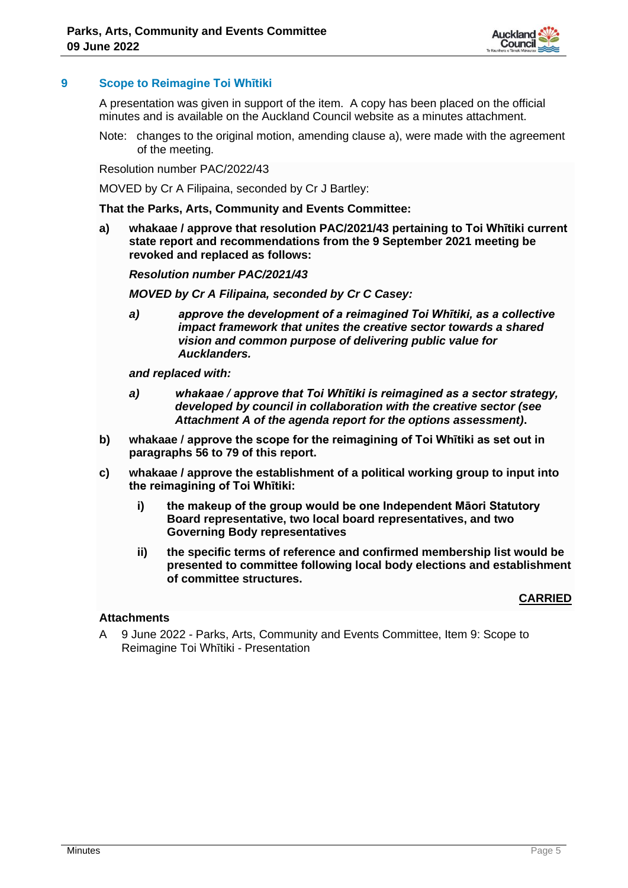

# **9 Scope to Reimagine Toi Whītiki**

A presentation was given in support of the item. A copy has been placed on the official minutes and is available on the Auckland Council website as a minutes attachment.

Note: changes to the original motion, amending clause a), were made with the agreement of the meeting.

Resolution number PAC/2022/43

MOVED by Cr A Filipaina, seconded by Cr J Bartley:

**That the Parks, Arts, Community and Events Committee:**

**a) whakaae / approve that resolution PAC/2021/43 pertaining to Toi Whītiki current state report and recommendations from the 9 September 2021 meeting be revoked and replaced as follows:**

*Resolution number PAC/2021/43*

*MOVED by Cr A Filipaina, seconded by Cr C Casey:*

*a) approve the development of a reimagined Toi Whītiki, as a collective impact framework that unites the creative sector towards a shared vision and common purpose of delivering public value for Aucklanders.*

*and replaced with:*

- *a) whakaae / approve that Toi Whītiki is reimagined as a sector strategy, developed by council in collaboration with the creative sector (see Attachment A of the agenda report for the options assessment)***.**
- **b) whakaae / approve the scope for the reimagining of Toi Whītiki as set out in paragraphs 56 to 79 of this report.**
- **c) whakaae / approve the establishment of a political working group to input into the reimagining of Toi Whītiki:**
	- **i) the makeup of the group would be one Independent Māori Statutory Board representative, two local board representatives, and two Governing Body representatives**
	- **ii) the specific terms of reference and confirmed membership list would be presented to committee following local body elections and establishment of committee structures.**

## **CARRIED**

#### **Attachments**

A 9 June 2022 - Parks, Arts, Community and Events Committee, Item 9: Scope to Reimagine Toi Whītiki - Presentation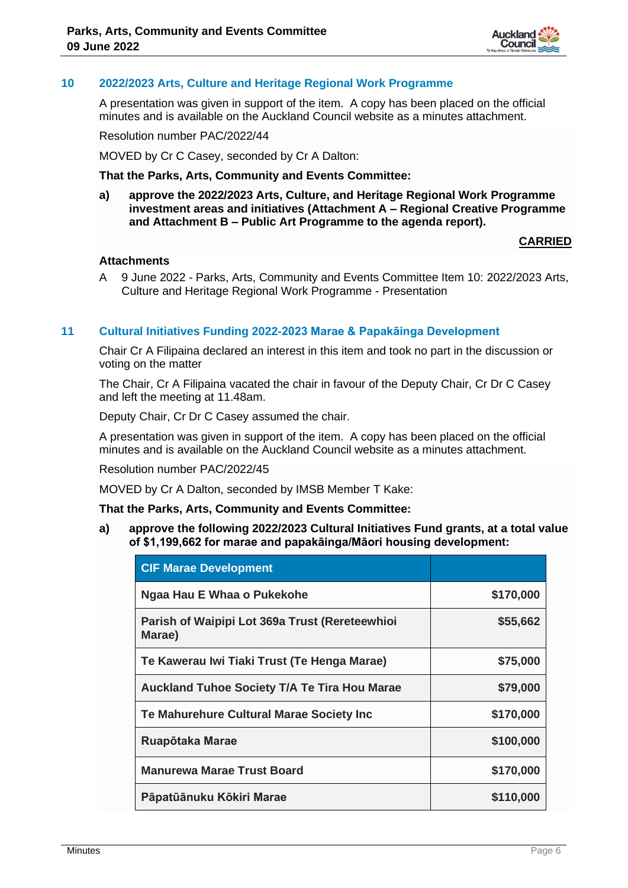

# **10 2022/2023 Arts, Culture and Heritage Regional Work Programme**

A presentation was given in support of the item. A copy has been placed on the official minutes and is available on the Auckland Council website as a minutes attachment.

Resolution number PAC/2022/44

MOVED by Cr C Casey, seconded by Cr A Dalton:

**That the Parks, Arts, Community and Events Committee:**

**a) approve the 2022/2023 Arts, Culture, and Heritage Regional Work Programme investment areas and initiatives (Attachment A – Regional Creative Programme and Attachment B – Public Art Programme to the agenda report).**

## **CARRIED**

## **Attachments**

A 9 June 2022 - Parks, Arts, Community and Events Committee Item 10: 2022/2023 Arts, Culture and Heritage Regional Work Programme - Presentation

## **11 Cultural Initiatives Funding 2022-2023 Marae & Papakāinga Development**

Chair Cr A Filipaina declared an interest in this item and took no part in the discussion or voting on the matter

The Chair, Cr A Filipaina vacated the chair in favour of the Deputy Chair, Cr Dr C Casey and left the meeting at 11.48am.

Deputy Chair, Cr Dr C Casey assumed the chair.

A presentation was given in support of the item. A copy has been placed on the official minutes and is available on the Auckland Council website as a minutes attachment.

Resolution number PAC/2022/45

MOVED by Cr A Dalton, seconded by IMSB Member T Kake:

#### **That the Parks, Arts, Community and Events Committee:**

**a) approve the following 2022/2023 Cultural Initiatives Fund grants, at a total value of \$1,199,662 for marae and papakāinga/Māori housing development:**

| <b>CIF Marae Development</b>                             |           |
|----------------------------------------------------------|-----------|
| Ngaa Hau E Whaa o Pukekohe                               | \$170,000 |
| Parish of Waipipi Lot 369a Trust (Rereteewhioi<br>Marae) | \$55,662  |
| Te Kawerau Iwi Tiaki Trust (Te Henga Marae)              | \$75,000  |
| <b>Auckland Tuhoe Society T/A Te Tira Hou Marae</b>      | \$79,000  |
| Te Mahurehure Cultural Marae Society Inc                 | \$170,000 |
| Ruapōtaka Marae                                          | \$100,000 |
| <b>Manurewa Marae Trust Board</b>                        | \$170,000 |
| Pāpatūānuku Kōkiri Marae                                 | \$110,000 |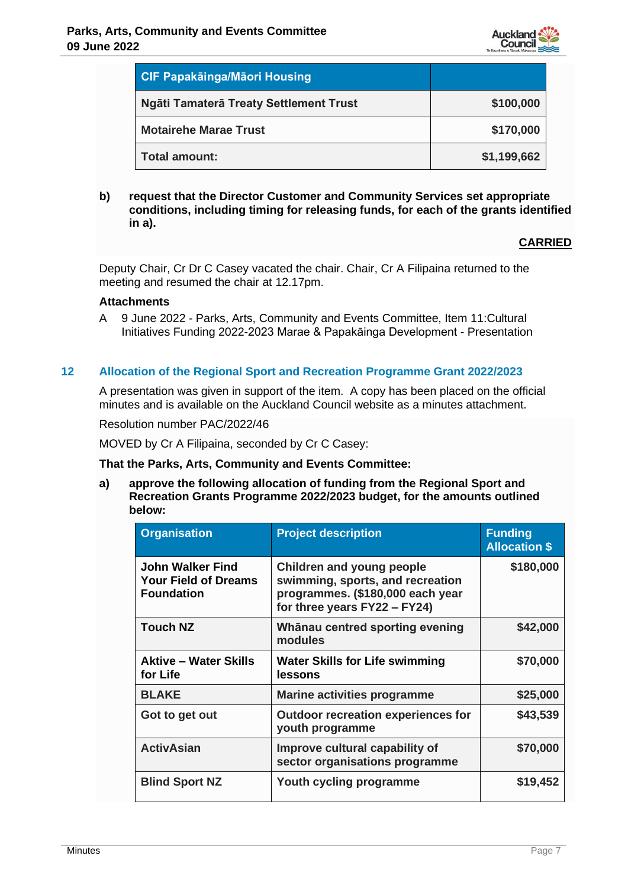

| <b>CIF Papakāinga/Māori Housing</b>    |             |
|----------------------------------------|-------------|
| Ngāti Tamaterā Treaty Settlement Trust | \$100,000   |
| <b>Motairehe Marae Trust</b>           | \$170,000   |
| Total amount:                          | \$1,199,662 |

## **b) request that the Director Customer and Community Services set appropriate conditions, including timing for releasing funds, for each of the grants identified in a).**

## **CARRIED**

Deputy Chair, Cr Dr C Casey vacated the chair. Chair, Cr A Filipaina returned to the meeting and resumed the chair at 12.17pm.

## **Attachments**

A 9 June 2022 - Parks, Arts, Community and Events Committee, Item 11:Cultural Initiatives Funding 2022-2023 Marae & Papakāinga Development - Presentation

## **12 Allocation of the Regional Sport and Recreation Programme Grant 2022/2023**

A presentation was given in support of the item. A copy has been placed on the official minutes and is available on the Auckland Council website as a minutes attachment.

Resolution number PAC/2022/46

MOVED by Cr A Filipaina, seconded by Cr C Casey:

#### **That the Parks, Arts, Community and Events Committee:**

**a) approve the following allocation of funding from the Regional Sport and Recreation Grants Programme 2022/2023 budget, for the amounts outlined below:**

| <b>Organisation</b>                                                         | <b>Project description</b>                                                                                                        | <b>Funding</b><br><b>Allocation \$</b> |
|-----------------------------------------------------------------------------|-----------------------------------------------------------------------------------------------------------------------------------|----------------------------------------|
| <b>John Walker Find</b><br><b>Your Field of Dreams</b><br><b>Foundation</b> | Children and young people<br>swimming, sports, and recreation<br>programmes. (\$180,000 each year<br>for three years FY22 - FY24) | \$180,000                              |
| <b>Touch NZ</b>                                                             | Whānau centred sporting evening<br>modules                                                                                        | \$42,000                               |
| <b>Aktive - Water Skills</b><br>for Life                                    | <b>Water Skills for Life swimming</b><br>lessons                                                                                  | \$70,000                               |
| <b>BLAKE</b>                                                                | <b>Marine activities programme</b>                                                                                                | \$25,000                               |
| Got to get out                                                              | <b>Outdoor recreation experiences for</b><br>youth programme                                                                      | \$43,539                               |
| <b>ActivAsian</b>                                                           | Improve cultural capability of<br>sector organisations programme                                                                  | \$70,000                               |
| <b>Blind Sport NZ</b>                                                       | Youth cycling programme                                                                                                           | \$19,452                               |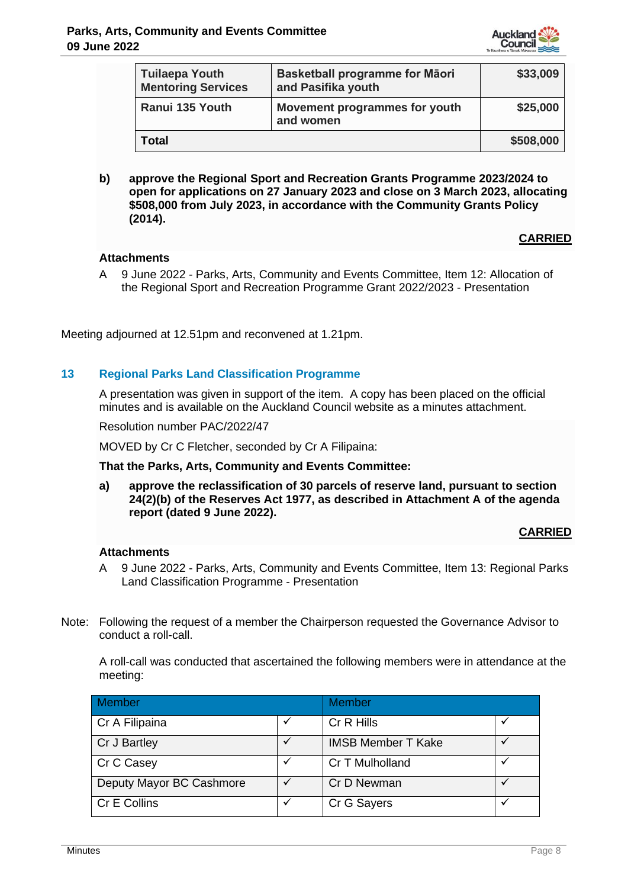

| <b>Tuilaepa Youth</b><br><b>Mentoring Services</b> | Basketball programme for Māori<br>and Pasifika youth | \$33,009  |
|----------------------------------------------------|------------------------------------------------------|-----------|
| Ranui 135 Youth                                    | Movement programmes for youth<br>and women           | \$25,000  |
| Total                                              |                                                      | \$508,000 |

**b) approve the Regional Sport and Recreation Grants Programme 2023/2024 to open for applications on 27 January 2023 and close on 3 March 2023, allocating \$508,000 from July 2023, in accordance with the Community Grants Policy (2014).**

## **CARRIED**

## **Attachments**

A 9 June 2022 - Parks, Arts, Community and Events Committee, Item 12: Allocation of the Regional Sport and Recreation Programme Grant 2022/2023 - Presentation

Meeting adjourned at 12.51pm and reconvened at 1.21pm.

# **13 Regional Parks Land Classification Programme**

A presentation was given in support of the item. A copy has been placed on the official minutes and is available on the Auckland Council website as a minutes attachment.

Resolution number PAC/2022/47

MOVED by Cr C Fletcher, seconded by Cr A Filipaina:

**That the Parks, Arts, Community and Events Committee:**

**a) approve the reclassification of 30 parcels of reserve land, pursuant to section 24(2)(b) of the Reserves Act 1977, as described in Attachment A of the agenda report (dated 9 June 2022).**

## **CARRIED**

## **Attachments**

- A 9 June 2022 Parks, Arts, Community and Events Committee, Item 13: Regional Parks Land Classification Programme - Presentation
- Note: Following the request of a member the Chairperson requested the Governance Advisor to conduct a roll-call.

A roll-call was conducted that ascertained the following members were in attendance at the meeting:

| <b>Member</b>            |   | <b>Member</b>             |  |
|--------------------------|---|---------------------------|--|
| Cr A Filipaina           |   | Cr R Hills                |  |
| Cr J Bartley             |   | <b>IMSB Member T Kake</b> |  |
| Cr C Casey               |   | Cr T Mulholland           |  |
| Deputy Mayor BC Cashmore | ✓ | Cr D Newman               |  |
| Cr E Collins             |   | Cr G Sayers               |  |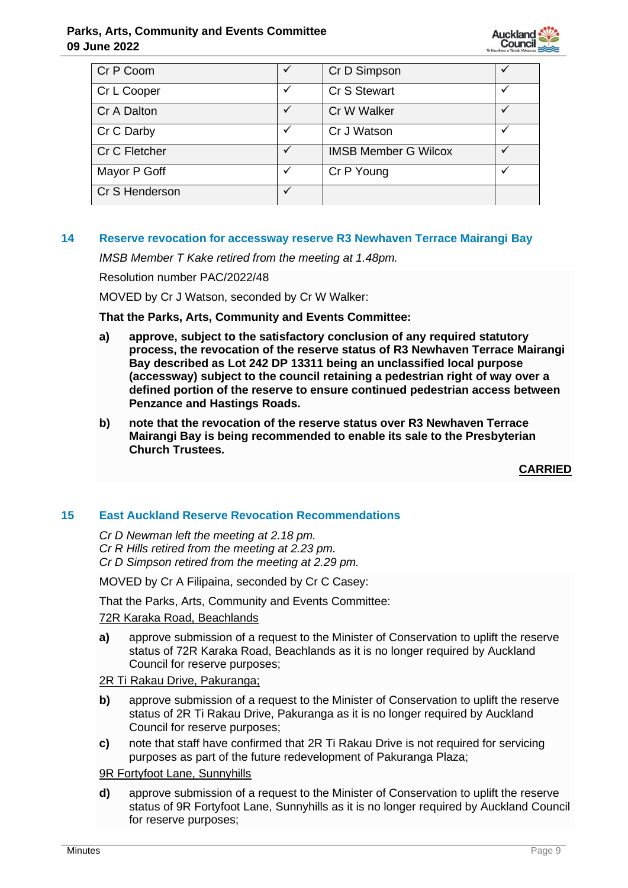# **Parks, Arts, Community and Events Committee 09 June 2022**



| Cr P Coom      |   | Cr D Simpson                |  |
|----------------|---|-----------------------------|--|
| Cr L Cooper    | ✓ | Cr S Stewart                |  |
| Cr A Dalton    |   | Cr W Walker                 |  |
| Cr C Darby     | ✓ | Cr J Watson                 |  |
| Cr C Fletcher  | ✓ | <b>IMSB Member G Wilcox</b> |  |
| Mayor P Goff   |   | Cr P Young                  |  |
| Cr S Henderson | ✓ |                             |  |

## **14 Reserve revocation for accessway reserve R3 Newhaven Terrace Mairangi Bay**

*IMSB Member T Kake retired from the meeting at 1.48pm.*

Resolution number PAC/2022/48

MOVED by Cr J Watson, seconded by Cr W Walker:

## **That the Parks, Arts, Community and Events Committee:**

- **a) approve, subject to the satisfactory conclusion of any required statutory process, the revocation of the reserve status of R3 Newhaven Terrace Mairangi Bay described as Lot 242 DP 13311 being an unclassified local purpose (accessway) subject to the council retaining a pedestrian right of way over a defined portion of the reserve to ensure continued pedestrian access between Penzance and Hastings Roads.**
- **b) note that the revocation of the reserve status over R3 Newhaven Terrace Mairangi Bay is being recommended to enable its sale to the Presbyterian Church Trustees.**

**CARRIED**

## **15 East Auckland Reserve Revocation Recommendations**

*Cr D Newman left the meeting at 2.18 pm. Cr R Hills retired from the meeting at 2.23 pm. Cr D Simpson retired from the meeting at 2.29 pm.*

MOVED by Cr A Filipaina, seconded by Cr C Casey:

That the Parks, Arts, Community and Events Committee:

#### 72R Karaka Road, Beachlands

**a)** approve submission of a request to the Minister of Conservation to uplift the reserve status of 72R Karaka Road, Beachlands as it is no longer required by Auckland Council for reserve purposes;

# 2R Ti Rakau Drive, Pakuranga;

- **b)** approve submission of a request to the Minister of Conservation to uplift the reserve status of 2R Ti Rakau Drive, Pakuranga as it is no longer required by Auckland Council for reserve purposes;
- **c)** note that staff have confirmed that 2R Ti Rakau Drive is not required for servicing purposes as part of the future redevelopment of Pakuranga Plaza;

#### 9R Fortyfoot Lane, Sunnyhills

**d)** approve submission of a request to the Minister of Conservation to uplift the reserve status of 9R Fortyfoot Lane, Sunnyhills as it is no longer required by Auckland Council for reserve purposes;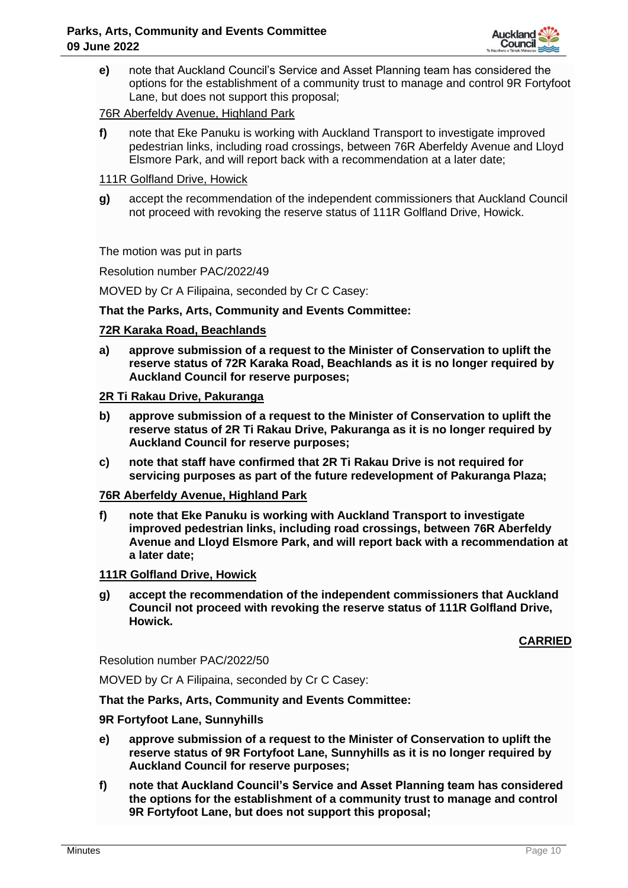

**e)** note that Auckland Council's Service and Asset Planning team has considered the options for the establishment of a community trust to manage and control 9R Fortyfoot Lane, but does not support this proposal;

## 76R Aberfeldy Avenue, Highland Park

**f)** note that Eke Panuku is working with Auckland Transport to investigate improved pedestrian links, including road crossings, between 76R Aberfeldy Avenue and Lloyd Elsmore Park, and will report back with a recommendation at a later date;

# 111R Golfland Drive, Howick

**g)** accept the recommendation of the independent commissioners that Auckland Council not proceed with revoking the reserve status of 111R Golfland Drive, Howick.

The motion was put in parts

Resolution number PAC/2022/49

MOVED by Cr A Filipaina, seconded by Cr C Casey:

## **That the Parks, Arts, Community and Events Committee:**

## **72R Karaka Road, Beachlands**

**a) approve submission of a request to the Minister of Conservation to uplift the reserve status of 72R Karaka Road, Beachlands as it is no longer required by Auckland Council for reserve purposes;**

## **2R Ti Rakau Drive, Pakuranga**

- **b) approve submission of a request to the Minister of Conservation to uplift the reserve status of 2R Ti Rakau Drive, Pakuranga as it is no longer required by Auckland Council for reserve purposes;**
- **c) note that staff have confirmed that 2R Ti Rakau Drive is not required for servicing purposes as part of the future redevelopment of Pakuranga Plaza;**

#### **76R Aberfeldy Avenue, Highland Park**

**f) note that Eke Panuku is working with Auckland Transport to investigate improved pedestrian links, including road crossings, between 76R Aberfeldy Avenue and Lloyd Elsmore Park, and will report back with a recommendation at a later date;**

# **111R Golfland Drive, Howick**

**g) accept the recommendation of the independent commissioners that Auckland Council not proceed with revoking the reserve status of 111R Golfland Drive, Howick.**

## **CARRIED**

Resolution number PAC/2022/50

MOVED by Cr A Filipaina, seconded by Cr C Casey:

**That the Parks, Arts, Community and Events Committee:**

#### **9R Fortyfoot Lane, Sunnyhills**

- **e) approve submission of a request to the Minister of Conservation to uplift the reserve status of 9R Fortyfoot Lane, Sunnyhills as it is no longer required by Auckland Council for reserve purposes;**
- **f) note that Auckland Council's Service and Asset Planning team has considered the options for the establishment of a community trust to manage and control 9R Fortyfoot Lane, but does not support this proposal;**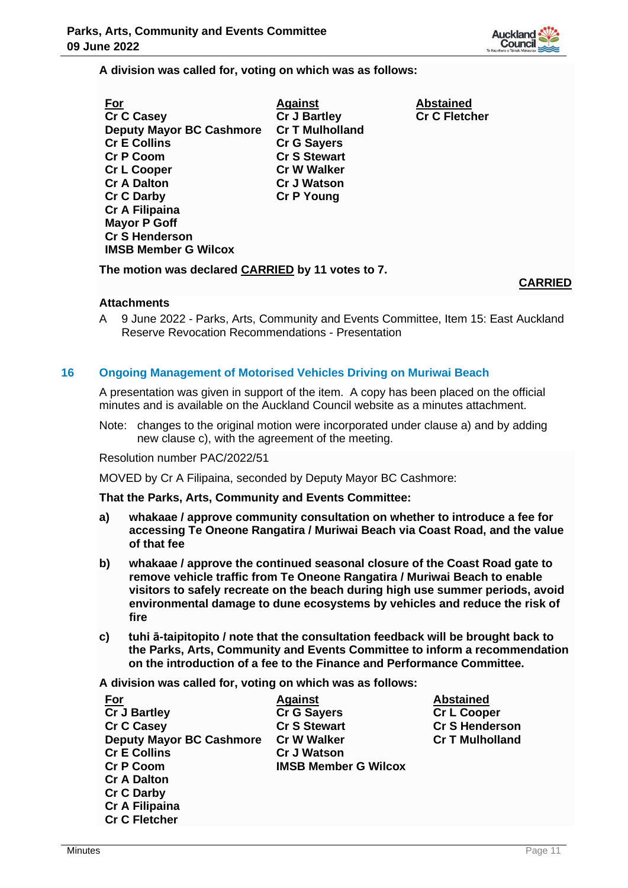

**A division was called for, voting on which was as follows:**

| <u>For</u>                      | <b>Against</b>         | <b>Abstained</b>     |
|---------------------------------|------------------------|----------------------|
| <b>Cr C Casey</b>               | <b>Cr J Bartley</b>    | <b>Cr C Fletcher</b> |
| <b>Deputy Mayor BC Cashmore</b> | <b>Cr T Mulholland</b> |                      |
| <b>Cr E Collins</b>             | <b>Cr G Sayers</b>     |                      |
| <b>Cr P Coom</b>                | <b>Cr S Stewart</b>    |                      |
| <b>Cr L Cooper</b>              | <b>Cr W Walker</b>     |                      |
| <b>Cr A Dalton</b>              | <b>Cr J Watson</b>     |                      |
| <b>Cr C Darby</b>               | <b>Cr P Young</b>      |                      |
| Cr A Filipaina                  |                        |                      |
| <b>Mayor P Goff</b>             |                        |                      |
| <b>Cr S Henderson</b>           |                        |                      |
| <b>IMSB Member G Wilcox</b>     |                        |                      |

**The motion was declared CARRIED by 11 votes to 7.**

# **CARRIED**

#### **Attachments**

A 9 June 2022 - Parks, Arts, Community and Events Committee, Item 15: East Auckland Reserve Revocation Recommendations - Presentation

# **16 Ongoing Management of Motorised Vehicles Driving on Muriwai Beach**

A presentation was given in support of the item. A copy has been placed on the official minutes and is available on the Auckland Council website as a minutes attachment.

Note: changes to the original motion were incorporated under clause a) and by adding new clause c), with the agreement of the meeting.

Resolution number PAC/2022/51

MOVED by Cr A Filipaina, seconded by Deputy Mayor BC Cashmore:

**That the Parks, Arts, Community and Events Committee:**

- **a) whakaae / approve community consultation on whether to introduce a fee for accessing Te Oneone Rangatira / Muriwai Beach via Coast Road, and the value of that fee**
- **b) whakaae / approve the continued seasonal closure of the Coast Road gate to remove vehicle traffic from Te Oneone Rangatira / Muriwai Beach to enable visitors to safely recreate on the beach during high use summer periods, avoid environmental damage to dune ecosystems by vehicles and reduce the risk of fire**
- **c) tuhi ā-taipitopito / note that the consultation feedback will be brought back to the Parks, Arts, Community and Events Committee to inform a recommendation on the introduction of a fee to the Finance and Performance Committee.**

**A division was called for, voting on which was as follows:**

| <u>For</u>                      | <b>Against</b>              | <b>Abstained</b>       |
|---------------------------------|-----------------------------|------------------------|
| <b>Cr J Bartley</b>             | <b>Cr G Sayers</b>          | <b>Cr L Cooper</b>     |
| <b>Cr C Casey</b>               | <b>Cr S Stewart</b>         | <b>Cr S Henderson</b>  |
| <b>Deputy Mayor BC Cashmore</b> | <b>Cr W Walker</b>          | <b>Cr T Mulholland</b> |
| <b>Cr E Collins</b>             | <b>Cr J Watson</b>          |                        |
| <b>Cr P Coom</b>                | <b>IMSB Member G Wilcox</b> |                        |
| <b>Cr A Dalton</b>              |                             |                        |
| <b>Cr C Darby</b>               |                             |                        |
| <b>Cr A Filipaina</b>           |                             |                        |
| <b>Cr C Fletcher</b>            |                             |                        |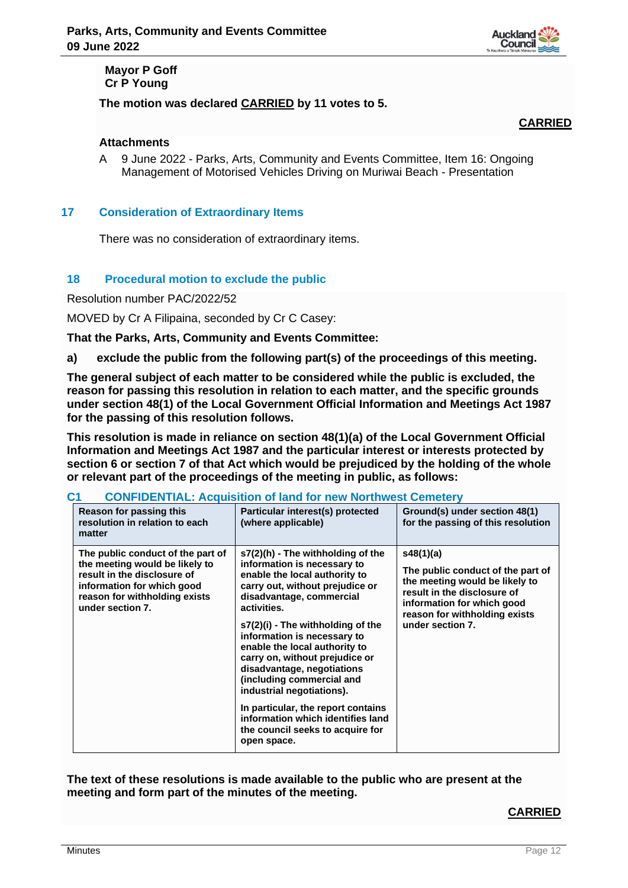

# **Mayor P Goff Cr P Young**

**The motion was declared CARRIED by 11 votes to 5.**

**CARRIED**

# **Attachments**

A 9 June 2022 - Parks, Arts, Community and Events Committee, Item 16: Ongoing Management of Motorised Vehicles Driving on Muriwai Beach - Presentation

## **17 Consideration of Extraordinary Items**

There was no consideration of extraordinary items.

## **18 Procedural motion to exclude the public**

Resolution number PAC/2022/52

MOVED by Cr A Filipaina, seconded by Cr C Casey:

**That the Parks, Arts, Community and Events Committee:**

**a) exclude the public from the following part(s) of the proceedings of this meeting.**

**The general subject of each matter to be considered while the public is excluded, the reason for passing this resolution in relation to each matter, and the specific grounds under section 48(1) of the Local Government Official Information and Meetings Act 1987 for the passing of this resolution follows.**

**This resolution is made in reliance on section 48(1)(a) of the Local Government Official Information and Meetings Act 1987 and the particular interest or interests protected by section 6 or section 7 of that Act which would be prejudiced by the holding of the whole or relevant part of the proceedings of the meeting in public, as follows:**

| Reason for passing this<br>resolution in relation to each<br>matter                                                                                                                   | Particular interest(s) protected<br>(where applicable)                                                                                                                                                                                                                                                                                                                                                                                                                                                                                       | Ground(s) under section 48(1)<br>for the passing of this resolution                                                                                                                                |
|---------------------------------------------------------------------------------------------------------------------------------------------------------------------------------------|----------------------------------------------------------------------------------------------------------------------------------------------------------------------------------------------------------------------------------------------------------------------------------------------------------------------------------------------------------------------------------------------------------------------------------------------------------------------------------------------------------------------------------------------|----------------------------------------------------------------------------------------------------------------------------------------------------------------------------------------------------|
| The public conduct of the part of<br>the meeting would be likely to<br>result in the disclosure of<br>information for which good<br>reason for withholding exists<br>under section 7. | s7(2)(h) - The withholding of the<br>information is necessary to<br>enable the local authority to<br>carry out, without prejudice or<br>disadvantage, commercial<br>activities.<br>s7(2)(i) - The withholding of the<br>information is necessary to<br>enable the local authority to<br>carry on, without prejudice or<br>disadvantage, negotiations<br>(including commercial and<br>industrial negotiations).<br>In particular, the report contains<br>information which identifies land<br>the council seeks to acquire for<br>open space. | s48(1)(a)<br>The public conduct of the part of<br>the meeting would be likely to<br>result in the disclosure of<br>information for which good<br>reason for withholding exists<br>under section 7. |

**C1 CONFIDENTIAL: Acquisition of land for new Northwest Cemetery**

**The text of these resolutions is made available to the public who are present at the meeting and form part of the minutes of the meeting.**

#### **CARRIED**